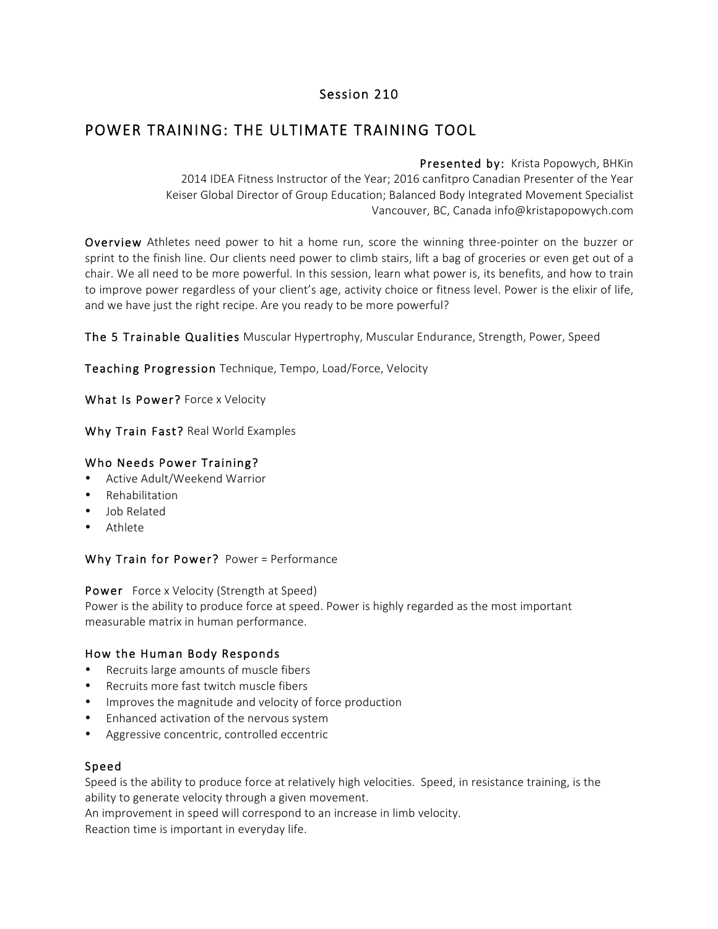## Session 210

# POWER TRAINING: THE ULTIMATE TRAINING TOOL

Presented by: Krista Popowych, BHKin 2014 IDEA Fitness Instructor of the Year; 2016 canfitpro Canadian Presenter of the Year Keiser Global Director of Group Education; Balanced Body Integrated Movement Specialist Vancouver, BC, Canada info@kristapopowych.com

Overview Athletes need power to hit a home run, score the winning three-pointer on the buzzer or sprint to the finish line. Our clients need power to climb stairs, lift a bag of groceries or even get out of a chair. We all need to be more powerful. In this session, learn what power is, its benefits, and how to train to improve power regardless of your client's age, activity choice or fitness level. Power is the elixir of life, and we have just the right recipe. Are you ready to be more powerful?

The 5 Trainable Qualities Muscular Hypertrophy, Muscular Endurance, Strength, Power, Speed

Teaching Progression Technique, Tempo, Load/Force, Velocity

What Is Power? Force x Velocity

Why Train Fast? Real World Examples

#### Who Needs Power Training?

- Active Adult/Weekend Warrior
- Rehabilitation
- Job Related
- Athlete

Why Train for Power? Power = Performance

Power Force x Velocity (Strength at Speed)

Power is the ability to produce force at speed. Power is highly regarded as the most important measurable matrix in human performance.

#### How the Human Body Responds

- Recruits large amounts of muscle fibers
- Recruits more fast twitch muscle fibers
- Improves the magnitude and velocity of force production
- Enhanced activation of the nervous system
- Aggressive concentric, controlled eccentric

#### Speed

Speed is the ability to produce force at relatively high velocities. Speed, in resistance training, is the ability to generate velocity through a given movement.

An improvement in speed will correspond to an increase in limb velocity.

Reaction time is important in everyday life.